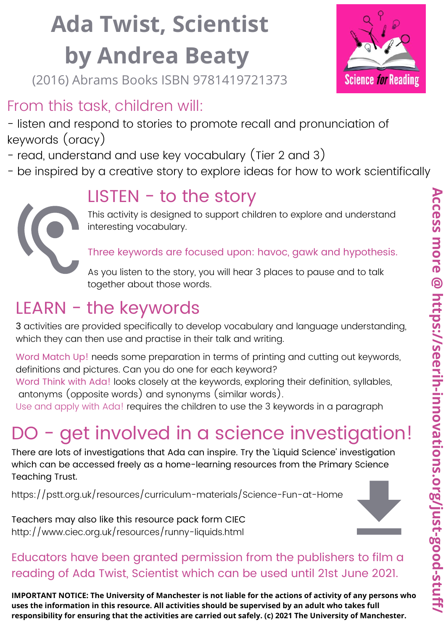## **Ada Twist, Scientist by Andrea Beaty**

(2016) Abrams Books ISBN 9781419721373

#### From this task, children will:

- listen and respond to stories to promote recall and pronunciation of keywords (oracy)

- read, understand and use key vocabulary (Tier 2 and 3)
- be inspired by a creative story to explore ideas for how to work scientifically

### LISTEN - to the story

#### This activity is designed to support children to explore and understand interesting vocabulary.

Three keywords are focused upon: havoc, gawk and hypothesis.

As you listen to the story, you will hear 3 places to pause and to talk together about those words.

### LEARN - the keywords

3 activities are provided specifically to develop vocabulary and language understanding, which they can then use and practise in their talk and writing.

Word Match Up! needs some preparation in terms of printing and cutting out keywords, definitions and pictures. Can you do one for each keyword?

Word Think with Ada! looks closely at the keywords, exploring their definition, syllables, antonyms (opposite words) and synonyms (similar words).

Use and apply with Ada! requires the children to use the 3 keywords in a paragraph

## DO - get involved in a science investigation!

There are lots of investigations that Ada can inspire. Try the 'Liquid Science' investigation which can be accessed freely as a home-learning resources from the Primary Science Teaching Trust.

https://pstt.org.uk/resources/curriculum-materials/Science-Fun-at-Home



Teachers may also like this resource pack form CIEC http://www.ciec.org.uk/resources/runny-liquids.html

#### Educators have been granted permission from the publishers to film a reading of Ada Twist, Scientist which can be used until 21st June 2021.

IMPORTANT NOTICE: The University of Manchester is not liable for the actions of activity of any persons who **uses the information in this resource. All activities should be supervised by an adult who takes full responsibility for ensuring that the activities are carried out safely. (c) 2021 The University of Manchester.**

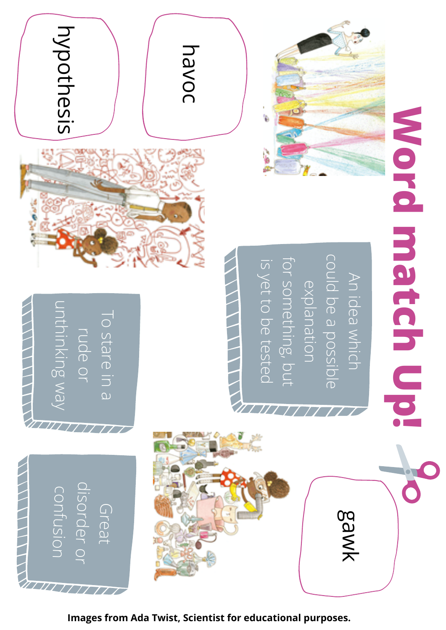

**Images from Ada Twist, Scientist for educational purposes.**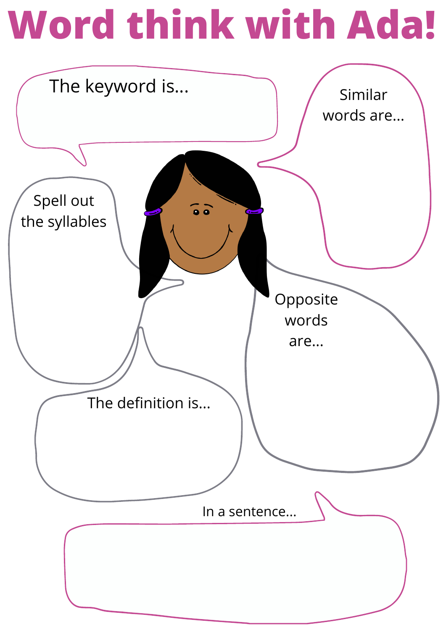# **Word think with Ada!**